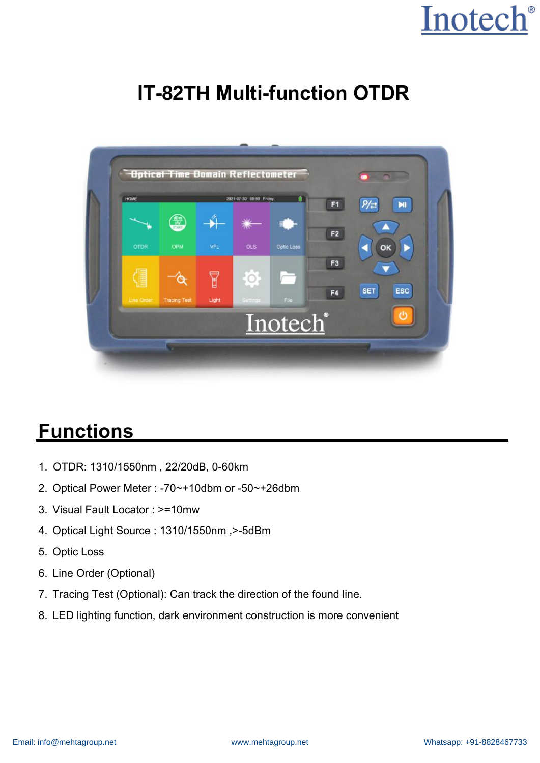### **IT-82TH Multi-function OTDR**



### **Functions**

- 1. OTDR: 1310/1550nm , 22/20dB, 0-60km
- 2. Optical Power Meter : -70~+10dbm or -50~+26dbm
- 3. Visual Fault Locator : >=10mw
- 4. Optical Light Source : 1310/1550nm ,>-5dBm
- 5. Optic Loss
- 6. Line Order (Optional)
- 7. Tracing Test (Optional): Can track the direction of the found line.
- 8. LED lighting function, dark environment construction is more convenient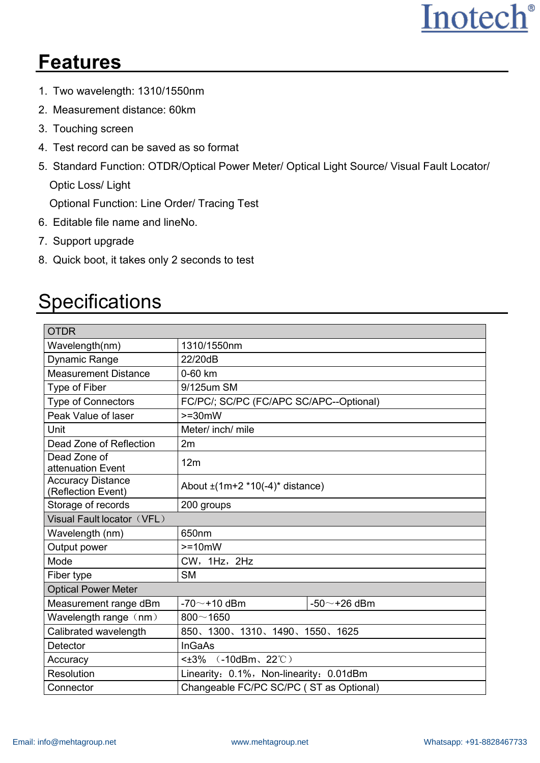### **Features**

- 1. Two wavelength: 1310/1550nm
- 2. Measurement distance: 60km
- 3. Touching screen
- 4. Test record can be saved as so format
- 5. Standard Function: OTDR/Optical Power Meter/ Optical Light Source/ Visual Fault Locator/ Optic Loss/ Light

Optional Function: Line Order/ Tracing Test

- 6. Editable file name and lineNo.
- 7. Support upgrade
- 8. Quick boot, it takes only 2 seconds to test

#### **Specifications**

| <b>OTDR</b>                                    |                                            |  |  |
|------------------------------------------------|--------------------------------------------|--|--|
| Wavelength(nm)                                 | 1310/1550nm                                |  |  |
| Dynamic Range                                  | 22/20dB                                    |  |  |
| <b>Measurement Distance</b>                    | 0-60 km                                    |  |  |
| Type of Fiber                                  | 9/125um SM                                 |  |  |
| <b>Type of Connectors</b>                      | FC/PC/; SC/PC (FC/APC SC/APC--Optional)    |  |  |
| Peak Value of laser                            | $>=30mW$                                   |  |  |
| Unit                                           | Meter/ inch/ mile                          |  |  |
| Dead Zone of Reflection                        | 2m                                         |  |  |
| Dead Zone of<br>attenuation Event              | 12m                                        |  |  |
| <b>Accuracy Distance</b><br>(Reflection Event) | About $\pm$ (1m+2 *10(-4)* distance)       |  |  |
| Storage of records                             | 200 groups                                 |  |  |
| Visual Fault locator (VFL)                     |                                            |  |  |
| Wavelength (nm)                                | 650 <sub>nm</sub>                          |  |  |
| Output power                                   | $>=10mW$                                   |  |  |
| Mode                                           | CW, 1Hz, 2Hz                               |  |  |
| Fiber type                                     | <b>SM</b>                                  |  |  |
| <b>Optical Power Meter</b>                     |                                            |  |  |
| Measurement range dBm                          | $-70$ $\sim$ +10 dBm<br>-50 $\sim$ +26 dBm |  |  |
| Wavelength range (nm)                          | $800 - 1650$                               |  |  |
| Calibrated wavelength                          | 850、1300、1310、1490、1550、1625               |  |  |
| Detector                                       | <b>InGaAs</b>                              |  |  |
| Accuracy                                       | $\leq$ $\pm$ 3% (-10dBm, 22°C)             |  |  |
| Resolution                                     | Linearity: 0.1%, Non-linearity: 0.01dBm    |  |  |
| Connector                                      | Changeable FC/PC SC/PC (ST as Optional)    |  |  |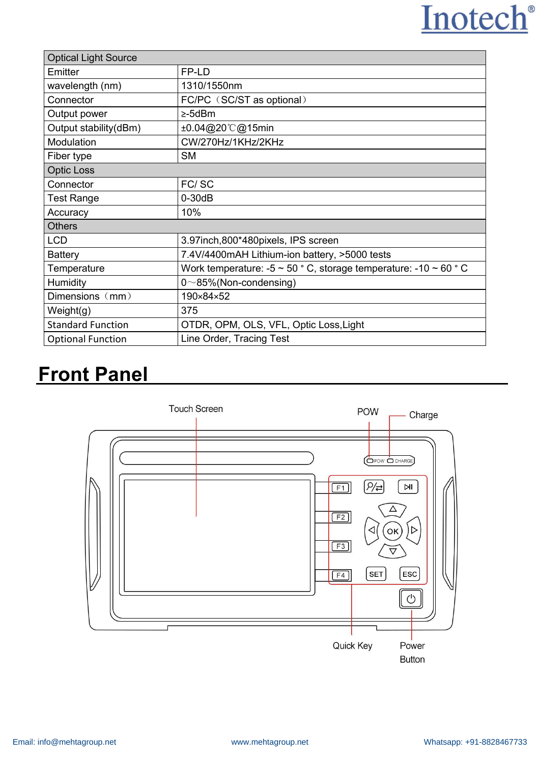| <b>Optical Light Source</b> |                                                                            |  |  |
|-----------------------------|----------------------------------------------------------------------------|--|--|
| Emitter                     | FP-LD                                                                      |  |  |
| wavelength (nm)             | 1310/1550nm                                                                |  |  |
| Connector                   | FC/PC (SC/ST as optional)                                                  |  |  |
| Output power                | $\geq$ -5dBm                                                               |  |  |
| Output stability(dBm)       | ±0.04@20℃@15min                                                            |  |  |
| Modulation                  | CW/270Hz/1KHz/2KHz                                                         |  |  |
| Fiber type                  | <b>SM</b>                                                                  |  |  |
| <b>Optic Loss</b>           |                                                                            |  |  |
| Connector                   | FC/SC                                                                      |  |  |
| <b>Test Range</b>           | $0 - 30dB$                                                                 |  |  |
| Accuracy                    | 10%                                                                        |  |  |
| <b>Others</b>               |                                                                            |  |  |
| <b>LCD</b>                  | 3.97inch, 800*480pixels, IPS screen                                        |  |  |
| <b>Battery</b>              | 7.4V/4400mAH Lithium-ion battery, >5000 tests                              |  |  |
| Temperature                 | Work temperature: -5 $\sim$ 50 ° C, storage temperature: -10 $\sim$ 60 ° C |  |  |
| Humidity                    | $0 \sim 85\%$ (Non-condensing)                                             |  |  |
| Dimensions (mm)             | 190×84×52                                                                  |  |  |
| Weight(g)                   | 375                                                                        |  |  |
| <b>Standard Function</b>    | OTDR, OPM, OLS, VFL, Optic Loss, Light                                     |  |  |
| <b>Optional Function</b>    | Line Order, Tracing Test                                                   |  |  |

#### **Front Panel**

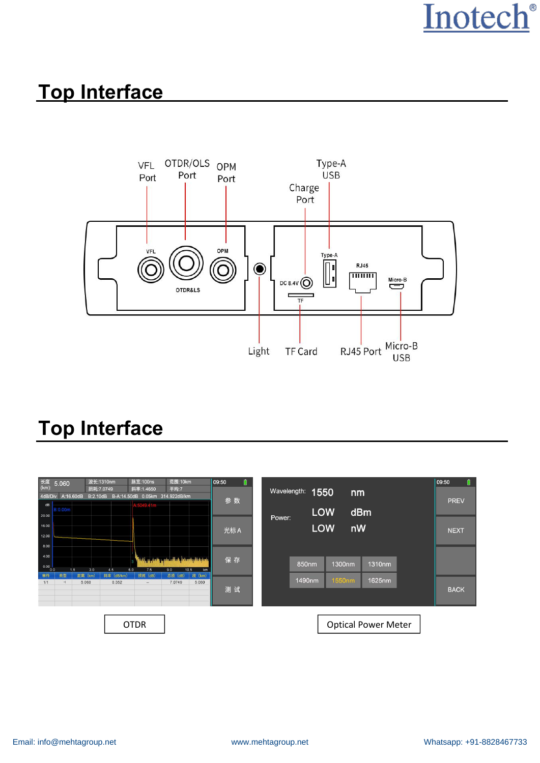#### **Top Interface**



## **Top Interface**

| 长度<br>(km):<br>5.060<br>A:16.60dB<br>4dB/Div | 波长:1310nm<br>损耗:7.0749<br>B:2.10dB B-A:14.50dB 0.05km 314.922dB/km | 脉宽:100ns<br>范围:10km<br>斜率:1.4650<br>平均:7                                    | ₿<br>09:50<br>参数      | Wavelength:<br>1550<br>nm  | 09:50<br>圓<br><b>PREV</b> |
|----------------------------------------------|--------------------------------------------------------------------|-----------------------------------------------------------------------------|-----------------------|----------------------------|---------------------------|
| dB<br><b>B:0.00m</b><br>20.00                |                                                                    |                                                                             |                       | <b>LOW</b><br>dBm          |                           |
| 16.00<br>12.00<br>8.00                       |                                                                    |                                                                             | 光标A                   | Power:<br><b>LOW</b><br>nW | <b>NEXT</b>               |
| 4.00<br>0.00<br>1.5                          | 6.0<br>3.0<br>4.5                                                  | <b>The first college of the collection of the col</b><br>7.5<br>10.5<br>9.0 | 保存<br>km              | 1310nm<br>850nm<br>1300nm  |                           |
| 类型<br>事件<br>1/1<br>$\rightarrow$             | 距离 (km)<br>斜率 (dB/km)<br>5.060<br>0.352                            | 总损 (dB)<br>损耗 (dB)<br>7.0749<br>$\cdots$                                    | 段 (km)<br>5.060<br>测试 | 1490nm<br>1550nm<br>1625nm | <b>BACK</b>               |
|                                              | <b>OTDR</b>                                                        |                                                                             |                       | <b>Optical Power Meter</b> |                           |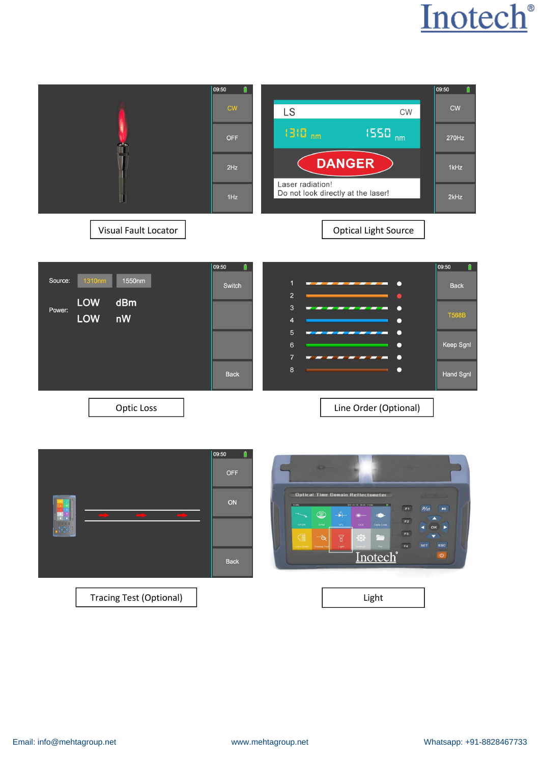